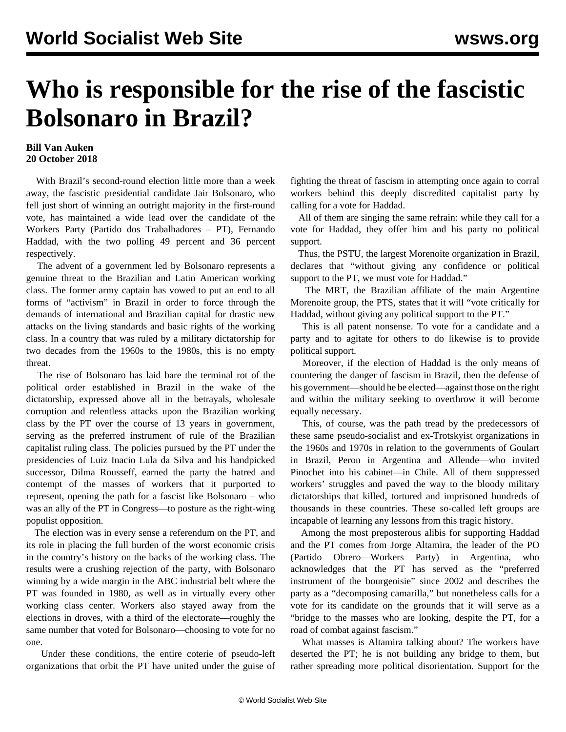## **Who is responsible for the rise of the fascistic Bolsonaro in Brazil?**

## **Bill Van Auken 20 October 2018**

 With Brazil's second-round election little more than a week away, the fascistic presidential candidate Jair Bolsonaro, who fell just short of winning an outright majority in the first-round vote, has maintained a wide lead over the candidate of the Workers Party (Partido dos Trabalhadores – PT), Fernando Haddad, with the two polling 49 percent and 36 percent respectively.

 The advent of a government led by Bolsonaro represents a genuine threat to the Brazilian and Latin American working class. The former army captain has vowed to put an end to all forms of "activism" in Brazil in order to force through the demands of international and Brazilian capital for drastic new attacks on the living standards and basic rights of the working class. In a country that was ruled by a military dictatorship for two decades from the 1960s to the 1980s, this is no empty threat.

 The rise of Bolsonaro has laid bare the terminal rot of the political order established in Brazil in the wake of the dictatorship, expressed above all in the betrayals, wholesale corruption and relentless attacks upon the Brazilian working class by the PT over the course of 13 years in government, serving as the preferred instrument of rule of the Brazilian capitalist ruling class. The policies pursued by the PT under the presidencies of Luiz Inacio Lula da Silva and his handpicked successor, Dilma Rousseff, earned the party the hatred and contempt of the masses of workers that it purported to represent, opening the path for a fascist like Bolsonaro – who was an ally of the PT in Congress—to posture as the right-wing populist opposition.

 The election was in every sense a referendum on the PT, and its role in placing the full burden of the worst economic crisis in the country's history on the backs of the working class. The results were a crushing rejection of the party, with Bolsonaro winning by a wide margin in the ABC industrial belt where the PT was founded in 1980, as well as in virtually every other working class center. Workers also stayed away from the elections in droves, with a third of the electorate—roughly the same number that voted for Bolsonaro—choosing to vote for no one.

 Under these conditions, the entire coterie of pseudo-left organizations that orbit the PT have united under the guise of fighting the threat of fascism in attempting once again to corral workers behind this deeply discredited capitalist party by calling for a vote for Haddad.

 All of them are singing the same refrain: while they call for a vote for Haddad, they offer him and his party no political support.

 Thus, the PSTU, the largest Morenoite organization in Brazil, declares that "without giving any confidence or political support to the PT, we must vote for Haddad."

 The MRT, the Brazilian affiliate of the main Argentine Morenoite group, the PTS, states that it will "vote critically for Haddad, without giving any political support to the PT."

 This is all patent nonsense. To vote for a candidate and a party and to agitate for others to do likewise is to provide political support.

 Moreover, if the election of Haddad is the only means of countering the danger of fascism in Brazil, then the defense of his government—should he be elected—against those on the right and within the military seeking to overthrow it will become equally necessary.

 This, of course, was the path tread by the predecessors of these same pseudo-socialist and ex-Trotskyist organizations in the 1960s and 1970s in relation to the governments of Goulart in Brazil, Peron in Argentina and Allende—who invited Pinochet into his cabinet—in Chile. All of them suppressed workers' struggles and paved the way to the bloody military dictatorships that killed, tortured and imprisoned hundreds of thousands in these countries. These so-called left groups are incapable of learning any lessons from this tragic history.

 Among the most preposterous alibis for supporting Haddad and the PT comes from Jorge Altamira, the leader of the PO (Partido Obrero—Workers Party) in Argentina, who acknowledges that the PT has served as the "preferred instrument of the bourgeoisie" since 2002 and describes the party as a "decomposing camarilla," but nonetheless calls for a vote for its candidate on the grounds that it will serve as a "bridge to the masses who are looking, despite the PT, for a road of combat against fascism."

 What masses is Altamira talking about? The workers have deserted the PT; he is not building any bridge to them, but rather spreading more political disorientation. Support for the